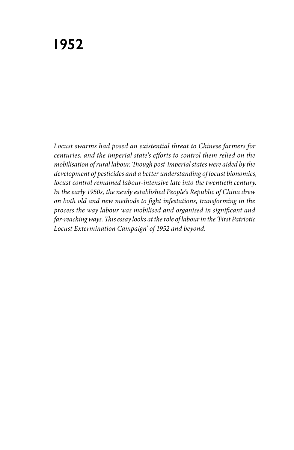# **1952**

*Locust swarms had posed an existential threat to Chinese farmers for centuries, and the imperial state's efforts to control them relied on the mobilisation of rural labour. Though post-imperial states were aided by the development of pesticides and a better understanding of locust bionomics, locust control remained labour-intensive late into the twentieth century. In the early 1950s, the newly established People's Republic of China drew on both old and new methods to fight infestations, transforming in the process the way labour was mobilised and organised in significant and far-reaching ways. This essay looks at the role of labour in the 'First Patriotic Locust Extermination Campaign' of 1952 and beyond.*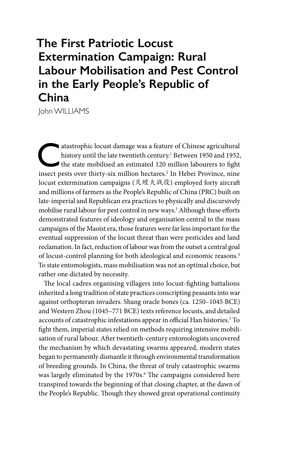# **The First Patriotic Locust Extermination Campaign: Rural Labour Mobilisation and Pest Control in the Early People's Republic of China**

John WILLIAMS

atastrophic locust damage was a feature of Chinese agricultural<br>history until the late twentieth century.<sup>1</sup> Between 1950 and 1952,<br>the state mobilised an estimated 120 million labourers to fight<br>insect pests over thirty s history until the late twentieth century.<sup>1</sup> Between 1950 and 1952, insect pests over thirty-six million hectares.2 In Hebei Province, nine locust extermination campaigns (灭蝗大战役) employed forty aircraft and millions of farmers as the People's Republic of China (PRC) built on late-imperial and Republican era practices to physically and discursively mobilise rural labour for pest control in new ways.<sup>3</sup> Although these efforts demonstrated features of ideology and organisation central to the mass campaigns of the Maoist era, those features were far less important for the eventual suppression of the locust threat than were pesticides and land reclamation. In fact, reduction of labour was from the outset a central goal of locust-control planning for both ideological and economic reasons.4 To state entomologists, mass mobilisation was not an optimal choice, but rather one dictated by necessity.

The local cadres organising villagers into locust-fighting battalions inherited a long tradition of state practices conscripting peasants into war against orthopteran invaders. Shang oracle bones (ca. 1250–1045 BCE) and Western Zhou (1045–771 BCE) texts reference locusts, and detailed accounts of catastrophic infestations appear in official Han histories.<sup>5</sup> To fight them, imperial states relied on methods requiring intensive mobilisation of rural labour. After twentieth-century entomologists uncovered the mechanism by which devastating swarms appeared, modern states began to permanently dismantle it through environmental transformation of breeding grounds. In China, the threat of truly catastrophic swarms was largely eliminated by the 1970s.<sup>6</sup> The campaigns considered here transpired towards the beginning of that closing chapter, at the dawn of the People's Republic. Though they showed great operational continuity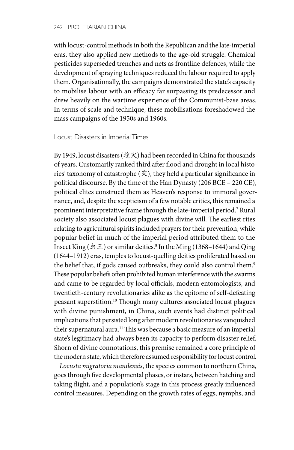with locust-control methods in both the Republican and the late-imperial eras, they also applied new methods to the age-old struggle. Chemical pesticides superseded trenches and nets as frontline defences, while the development of spraying techniques reduced the labour required to apply them. Organisationally, the campaigns demonstrated the state's capacity to mobilise labour with an efficacy far surpassing its predecessor and drew heavily on the wartime experience of the Communist-base areas. In terms of scale and technique, these mobilisations foreshadowed the mass campaigns of the 1950s and 1960s.

## Locust Disasters in Imperial Times

By 1949, locust disasters (蝗灾) had been recorded in China for thousands of years. Customarily ranked third after flood and drought in local histories' taxonomy of catastrophe (灾), they held a particular significance in political discourse. By the time of the Han Dynasty (206 BCE – 220 CE), political elites construed them as Heaven's response to immoral governance, and, despite the scepticism of a few notable critics, this remained a prominent interpretative frame through the late-imperial period.7 Rural society also associated locust plagues with divine will. The earliest rites relating to agricultural spirits included prayers for their prevention, while popular belief in much of the imperial period attributed them to the Insect King ( $\pm \pm$ ) or similar deities.<sup>8</sup> In the Ming (1368–1644) and Qing (1644–1912) eras, temples to locust-quelling deities proliferated based on the belief that, if gods caused outbreaks, they could also control them.<sup>9</sup> These popular beliefs often prohibited human interference with the swarms and came to be regarded by local officials, modern entomologists, and twentieth-century revolutionaries alike as the epitome of self-defeating peasant superstition.10 Though many cultures associated locust plagues with divine punishment, in China, such events had distinct political implications that persisted long after modern revolutionaries vanquished their supernatural aura.<sup>11</sup> This was because a basic measure of an imperial state's legitimacy had always been its capacity to perform disaster relief. Shorn of divine connotations, this premise remained a core principle of the modern state, which therefore assumed responsibility for locust control.

*Locusta migratoria manilensis*, the species common to northern China, goes through five developmental phases, or instars, between hatching and taking flight, and a population's stage in this process greatly influenced control measures. Depending on the growth rates of eggs, nymphs, and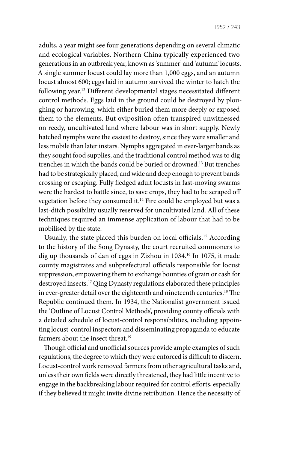adults, a year might see four generations depending on several climatic and ecological variables. Northern China typically experienced two generations in an outbreak year, known as 'summer' and 'autumn' locusts. A single summer locust could lay more than 1,000 eggs, and an autumn locust almost 600; eggs laid in autumn survived the winter to hatch the following year.12 Different developmental stages necessitated different control methods. Eggs laid in the ground could be destroyed by ploughing or harrowing, which either buried them more deeply or exposed them to the elements. But oviposition often transpired unwitnessed on reedy, uncultivated land where labour was in short supply. Newly hatched nymphs were the easiest to destroy, since they were smaller and less mobile than later instars. Nymphs aggregated in ever-larger bands as they sought food supplies, and the traditional control method was to dig trenches in which the bands could be buried or drowned.13 But trenches had to be strategically placed, and wide and deep enough to prevent bands crossing or escaping. Fully fledged adult locusts in fast-moving swarms were the hardest to battle since, to save crops, they had to be scraped off vegetation before they consumed it.14 Fire could be employed but was a last-ditch possibility usually reserved for uncultivated land. All of these techniques required an immense application of labour that had to be mobilised by the state.

Usually, the state placed this burden on local officials.15 According to the history of the Song Dynasty, the court recruited commoners to dig up thousands of dan of eggs in Zizhou in 1034.16 In 1075, it made county magistrates and subprefectural officials responsible for locust suppression, empowering them to exchange bounties of grain or cash for destroyed insects.17 Qing Dynasty regulations elaborated these principles in ever-greater detail over the eighteenth and nineteenth centuries.18 The Republic continued them. In 1934, the Nationalist government issued the 'Outline of Locust Control Methods', providing county officials with a detailed schedule of locust-control responsibilities, including appointing locust-control inspectors and disseminating propaganda to educate farmers about the insect threat.<sup>19</sup>

Though official and unofficial sources provide ample examples of such regulations, the degree to which they were enforced is difficult to discern. Locust-control work removed farmers from other agricultural tasks and, unless their own fields were directly threatened, they had little incentive to engage in the backbreaking labour required for control efforts, especially if they believed it might invite divine retribution. Hence the necessity of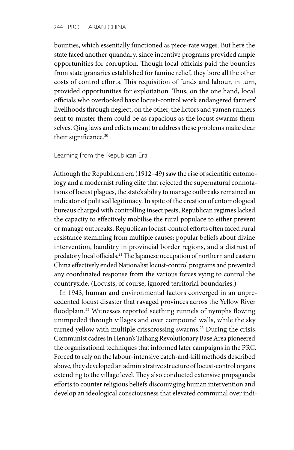bounties, which essentially functioned as piece-rate wages. But here the state faced another quandary, since incentive programs provided ample opportunities for corruption. Though local officials paid the bounties from state granaries established for famine relief, they bore all the other costs of control efforts. This requisition of funds and labour, in turn, provided opportunities for exploitation. Thus, on the one hand, local officials who overlooked basic locust-control work endangered farmers' livelihoods through neglect; on the other, the lictors and yamen runners sent to muster them could be as rapacious as the locust swarms themselves. Qing laws and edicts meant to address these problems make clear their significance.<sup>20</sup>

## Learning from the Republican Era

Although the Republican era (1912–49) saw the rise of scientific entomology and a modernist ruling elite that rejected the supernatural connotations of locust plagues, the state's ability to manage outbreaks remained an indicator of political legitimacy. In spite of the creation of entomological bureaus charged with controlling insect pests, Republican regimes lacked the capacity to effectively mobilise the rural populace to either prevent or manage outbreaks. Republican locust-control efforts often faced rural resistance stemming from multiple causes: popular beliefs about divine intervention, banditry in provincial border regions, and a distrust of predatory local officials.<sup>21</sup> The Japanese occupation of northern and eastern China effectively ended Nationalist locust-control programs and prevented any coordinated response from the various forces vying to control the countryside. (Locusts, of course, ignored territorial boundaries.)

In 1943, human and environmental factors converged in an unprecedented locust disaster that ravaged provinces across the Yellow River floodplain.<sup>22</sup> Witnesses reported seething runnels of nymphs flowing unimpeded through villages and over compound walls, while the sky turned yellow with multiple crisscrossing swarms.<sup>23</sup> During the crisis, Communist cadres in Henan's Taihang Revolutionary Base Area pioneered the organisational techniques that informed later campaigns in the PRC. Forced to rely on the labour-intensive catch-and-kill methods described above, they developed an administrative structure of locust-control organs extending to the village level. They also conducted extensive propaganda efforts to counter religious beliefs discouraging human intervention and develop an ideological consciousness that elevated communal over indi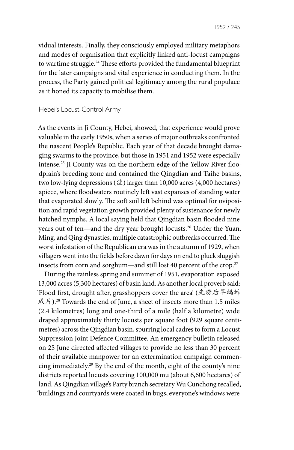vidual interests. Finally, they consciously employed military metaphors and modes of organisation that explicitly linked anti-locust campaigns to wartime struggle.<sup>24</sup> These efforts provided the fundamental blueprint for the later campaigns and vital experience in conducting them. In the process, the Party gained political legitimacy among the rural populace as it honed its capacity to mobilise them.

#### Hebei's Locust-Control Army

As the events in Ji County, Hebei, showed, that experience would prove valuable in the early 1950s, when a series of major outbreaks confronted the nascent People's Republic. Each year of that decade brought damaging swarms to the province, but those in 1951 and 1952 were especially intense.25 Ji County was on the northern edge of the Yellow River floodplain's breeding zone and contained the Qingdian and Taihe basins, two low-lying depressions (洼) larger than 10,000 acres (4,000 hectares) apiece, where floodwaters routinely left vast expanses of standing water that evaporated slowly. The soft soil left behind was optimal for oviposition and rapid vegetation growth provided plenty of sustenance for newly hatched nymphs. A local saying held that Qingdian basin flooded nine years out of ten—and the dry year brought locusts. 26 Under the Yuan, Ming, and Qing dynasties, multiple catastrophic outbreaks occurred. The worst infestation of the Republican era was in the autumn of 1929, when villagers went into the fields before dawn for days on end to pluck sluggish insects from corn and sorghum—and still lost 40 percent of the crop. 27

During the rainless spring and summer of 1951, evaporation exposed 13,000 acres (5,300 hectares) of basin land. As another local proverb said: 'Flood first, drought after, grasshoppers cover the area' (先涝后旱蚂蚱 成片).<sup>28</sup> Towards the end of June, a sheet of insects more than 1.5 miles (2.4 kilometres) long and one-third of a mile (half a kilometre) wide draped approximately thirty locusts per square foot (929 square centimetres) across the Qingdian basin, spurring local cadres to form a Locust Suppression Joint Defence Committee. An emergency bulletin released on 25 June directed affected villages to provide no less than 30 percent of their available manpower for an extermination campaign commencing immediately.29 By the end of the month, eight of the county's nine districts reported locusts covering 100,000 mu (about 6,600 hectares) of land. As Qingdian village's Party branch secretary Wu Cunchong recalled, 'buildings and courtyards were coated in bugs, everyone's windows were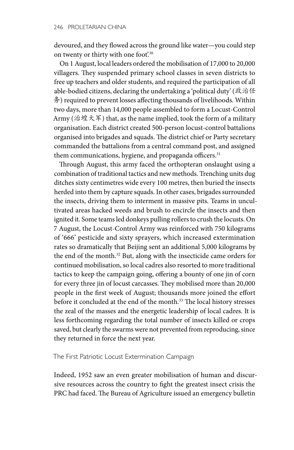devoured, and they flowed across the ground like water—you could step on twenty or thirty with one foot'.<sup>30</sup>

On 1 August, local leaders ordered the mobilisation of 17,000 to 20,000 villagers. They suspended primary school classes in seven districts to free up teachers and older students, and required the participation of all able-bodied citizens, declaring the undertaking a 'political duty' (政治任 务) required to prevent losses affecting thousands of livelihoods. Within two days, more than 14,000 people assembled to form a Locust-Control Army (治蝗大军) that, as the name implied, took the form of a military organisation. Each district created 500-person locust-control battalions organised into brigades and squads. The district chief or Party secretary commanded the battalions from a central command post, and assigned them communications, hygiene, and propaganda officers.<sup>31</sup>

Through August, this army faced the orthopteran onslaught using a combination of traditional tactics and new methods. Trenching units dug ditches sixty centimetres wide every 100 metres, then buried the insects herded into them by capture squads. In other cases, brigades surrounded the insects, driving them to interment in massive pits. Teams in uncultivated areas hacked weeds and brush to encircle the insects and then ignited it. Some teams led donkeys pulling rollers to crush the locusts. On 7 August, the Locust-Control Army was reinforced with 750 kilograms of '666' pesticide and sixty sprayers, which increased extermination rates so dramatically that Beijing sent an additional 5,000 kilograms by the end of the month.32 But, along with the insecticide came orders for continued mobilisation, so local cadres also resorted to more traditional tactics to keep the campaign going, offering a bounty of one jin of corn for every three jin of locust carcasses. They mobilised more than 20,000 people in the first week of August; thousands more joined the effort before it concluded at the end of the month.<sup>33</sup> The local history stresses the zeal of the masses and the energetic leadership of local cadres. It is less forthcoming regarding the total number of insects killed or crops saved, but clearly the swarms were not prevented from reproducing, since they returned in force the next year.

The First Patriotic Locust Extermination Campaign

Indeed, 1952 saw an even greater mobilisation of human and discursive resources across the country to fight the greatest insect crisis the PRC had faced. The Bureau of Agriculture issued an emergency bulletin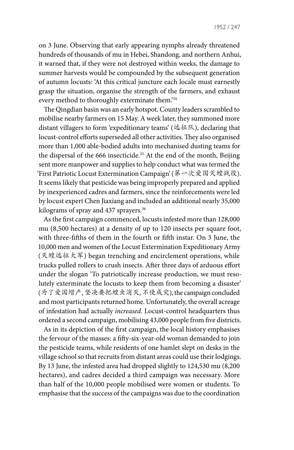1952 / 247

on 3 June. Observing that early appearing nymphs already threatened hundreds of thousands of mu in Hebei, Shandong, and northern Anhui, it warned that, if they were not destroyed within weeks, the damage to summer harvests would be compounded by the subsequent generation of autumn locusts: 'At this critical juncture each locale must earnestly grasp the situation, organise the strength of the farmers, and exhaust every method to thoroughly exterminate them.'34

The Qingdian basin was an early hotspot. County leaders scrambled to mobilise nearby farmers on 15 May. A week later, they summoned more distant villagers to form 'expeditionary teams' (远征队), declaring that locust-control efforts superseded all other activities. They also organised more than 1,000 able-bodied adults into mechanised dusting teams for the dispersal of the 666 insecticide.<sup>35</sup> At the end of the month, Beijing sent more manpower and supplies to help conduct what was termed the 'First Patriotic Locust Extermination Campaign' (第一次爱国灭蝗战役). It seems likely that pesticide was being improperly prepared and applied by inexperienced cadres and farmers, since the reinforcements were led by locust expert Chen Jiaxiang and included an additional nearly 35,000 kilograms of spray and 437 sprayers.<sup>36</sup>

As the first campaign commenced, locusts infested more than 128,000 mu (8,500 hectares) at a density of up to 120 insects per square foot, with three-fifths of them in the fourth or fifth instar. On 3 June, the 10,000 men and women of the Locust Extermination Expeditionary Army (灭蝗远征大军) began trenching and encirclement operations, while trucks pulled rollers to crush insects. After three days of arduous effort under the slogan 'To patriotically increase production, we must resolutely exterminate the locusts to keep them from becoming a disaster' (为了爱国增产, 坚决要把蝗虫消灭, 不使成灾), the campaign concluded and most participants returned home. Unfortunately, the overall acreage of infestation had actually *increased*. Locust-control headquarters thus ordered a second campaign, mobilising 43,000 people from five districts.

As in its depiction of the first campaign, the local history emphasises the fervour of the masses: a fifty-six-year-old woman demanded to join the pesticide teams, while residents of one hamlet slept on desks in the village school so that recruits from distant areas could use their lodgings. By 13 June, the infested area had dropped slightly to 124,530 mu (8,200 hectares), and cadres decided a third campaign was necessary. More than half of the 10,000 people mobilised were women or students. To emphasise that the success of the campaigns was due to the coordination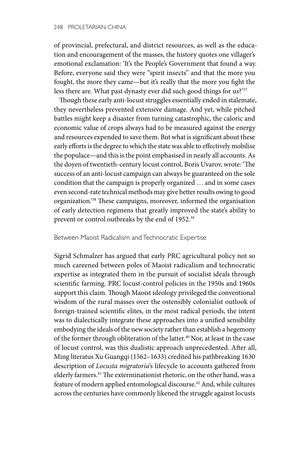of provincial, prefectural, and district resources, as well as the education and encouragement of the masses, the history quotes one villager's emotional exclamation: 'It's the People's Government that found a way. Before, everyone said they were "spirit insects" and that the more you fought, the more they came—but it's really that the more you fight the less there are. What past dynasty ever did such good things for us?'37

Though these early anti-locust struggles essentially ended in stalemate, they nevertheless prevented extensive damage. And yet, while pitched battles might keep a disaster from turning catastrophic, the caloric and economic value of crops always had to be measured against the energy and resources expended to save them. But what is significant about these early efforts is the degree to which the state was able to effectively mobilise the populace—and this is the point emphasised in nearly all accounts. As the doyen of twentieth-century locust control, Boris Uvarov, wrote: 'The success of an anti-locust campaign can always be guaranteed on the sole condition that the campaign is properly organized … and in some cases even second-rate technical methods may give better results owing to good organization.'38 These campaigns, moreover, informed the organisation of early detection regimens that greatly improved the state's ability to prevent or control outbreaks by the end of 1952.<sup>39</sup>

#### Between Maoist Radicalism and Technocratic Expertise

Sigrid Schmalzer has argued that early PRC agricultural policy not so much careened between poles of Maoist radicalism and technocratic expertise as integrated them in the pursuit of socialist ideals through scientific farming. PRC locust-control policies in the 1950s and 1960s support this claim. Though Maoist ideology privileged the conventional wisdom of the rural masses over the ostensibly colonialist outlook of foreign-trained scientific elites, in the most radical periods, the intent was to dialectically integrate these approaches into a unified sensibility embodying the ideals of the new society rather than establish a hegemony of the former through obliteration of the latter.<sup>40</sup> Nor, at least in the case of locust control, was this dualistic approach unprecedented. After all, Ming literatus Xu Guangqi (1562–1633) credited his pathbreaking 1630 description of *Locusta migratoria*'s lifecycle to accounts gathered from elderly farmers.<sup>41</sup> The exterminationist rhetoric, on the other hand, was a feature of modern applied entomological discourse.<sup>42</sup> And, while cultures across the centuries have commonly likened the struggle against locusts